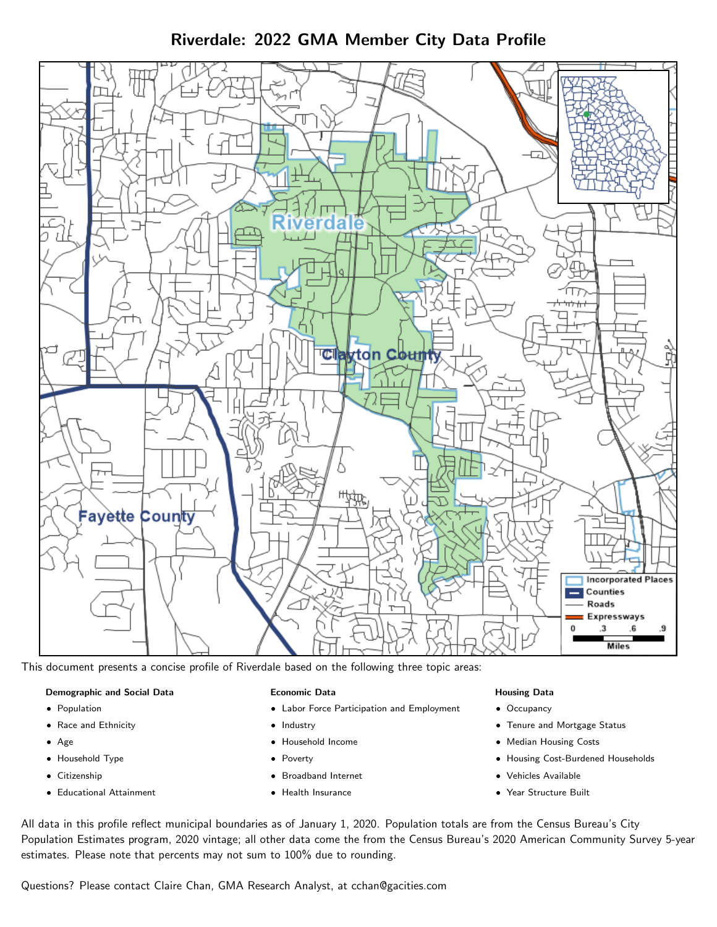Riverdale: 2022 GMA Member City Data Profile



This document presents a concise profile of Riverdale based on the following three topic areas:

#### Demographic and Social Data

- **•** Population
- Race and Ethnicity
- Age
- Household Type
- **Citizenship**
- Educational Attainment

#### Economic Data

- Labor Force Participation and Employment
- Industry
- Household Income
- Poverty
- Broadband Internet
- Health Insurance

#### Housing Data

- Occupancy
- Tenure and Mortgage Status
- Median Housing Costs
- Housing Cost-Burdened Households
- Vehicles Available
- Year Structure Built

All data in this profile reflect municipal boundaries as of January 1, 2020. Population totals are from the Census Bureau's City Population Estimates program, 2020 vintage; all other data come the from the Census Bureau's 2020 American Community Survey 5-year estimates. Please note that percents may not sum to 100% due to rounding.

Questions? Please contact Claire Chan, GMA Research Analyst, at [cchan@gacities.com.](mailto:cchan@gacities.com)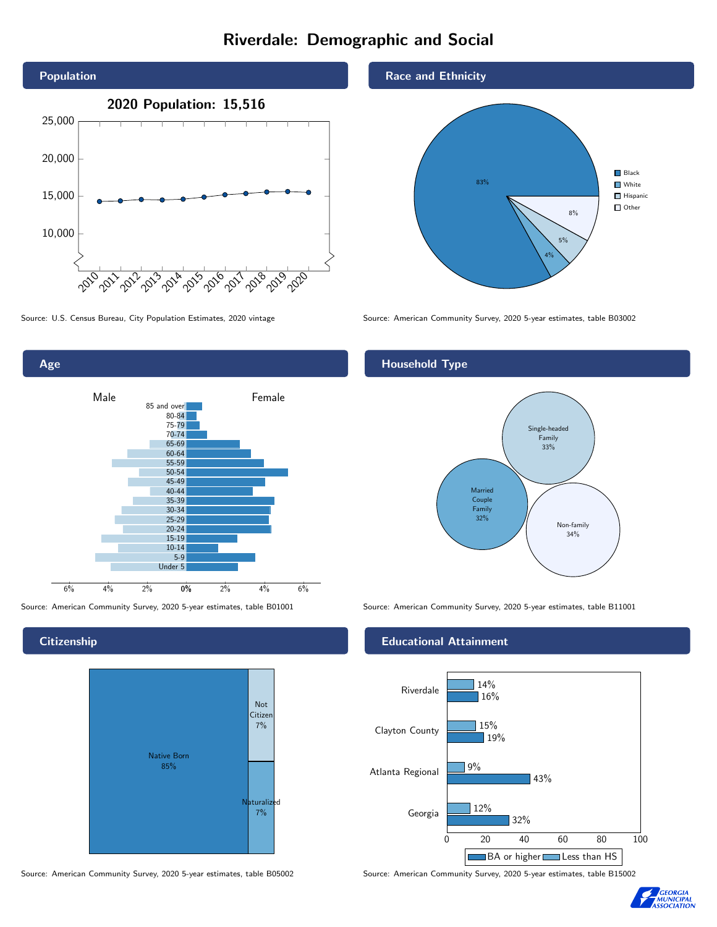# Riverdale: Demographic and Social





**Citizenship** 



Source: American Community Survey, 2020 5-year estimates, table B05002 Source: American Community Survey, 2020 5-year estimates, table B15002





Source: U.S. Census Bureau, City Population Estimates, 2020 vintage Source: American Community Survey, 2020 5-year estimates, table B03002

## Household Type



Source: American Community Survey, 2020 5-year estimates, table B01001 Source: American Community Survey, 2020 5-year estimates, table B11001

#### Educational Attainment



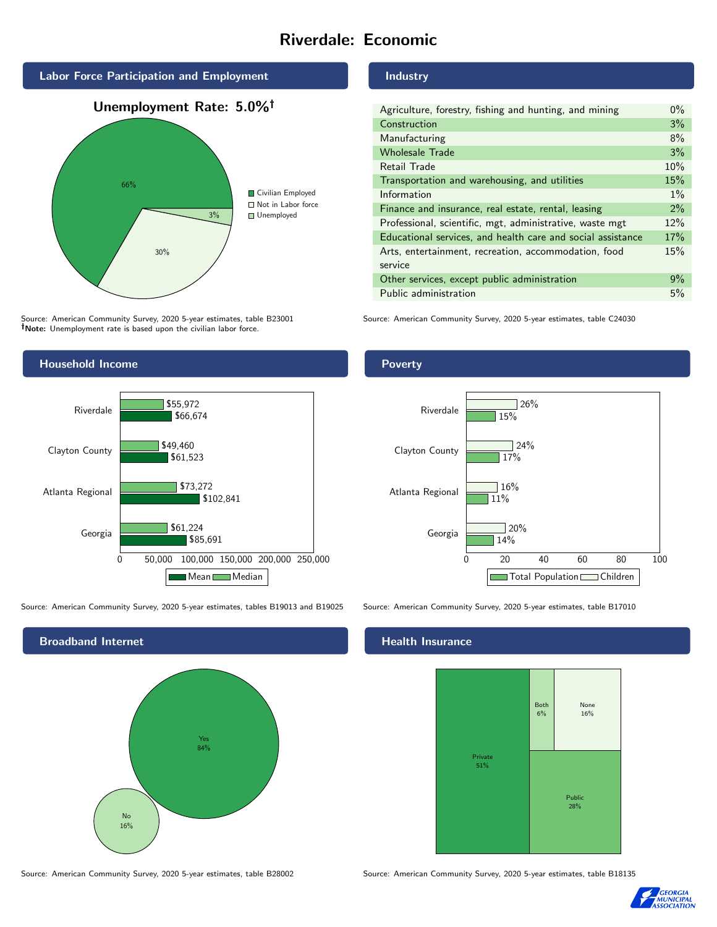# Riverdale: Economic



Source: American Community Survey, 2020 5-year estimates, table B23001 Note: Unemployment rate is based upon the civilian labor force.



Source: American Community Survey, 2020 5-year estimates, tables B19013 and B19025 Source: American Community Survey, 2020 5-year estimates, table B17010



Industry

| Agriculture, forestry, fishing and hunting, and mining      | $0\%$ |
|-------------------------------------------------------------|-------|
| Construction                                                | 3%    |
| Manufacturing                                               | 8%    |
| <b>Wholesale Trade</b>                                      | 3%    |
| Retail Trade                                                | 10%   |
| Transportation and warehousing, and utilities               | 15%   |
| Information                                                 | $1\%$ |
| Finance and insurance, real estate, rental, leasing         | 2%    |
| Professional, scientific, mgt, administrative, waste mgt    | 12%   |
| Educational services, and health care and social assistance | 17%   |
| Arts, entertainment, recreation, accommodation, food        | 15%   |
| service                                                     |       |
| Other services, except public administration                | $9\%$ |
| Public administration                                       | 5%    |

Source: American Community Survey, 2020 5-year estimates, table C24030

### Poverty



## **Health Insurance**



Source: American Community Survey, 2020 5-year estimates, table B28002 Source: American Community Survey, 2020 5-year estimates, table B18135